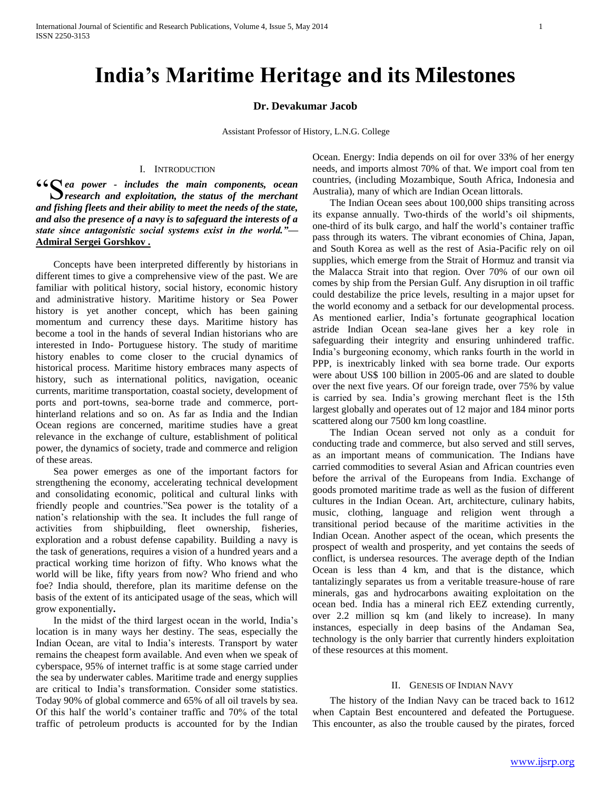# **India's Maritime Heritage and its Milestones**

## **Dr. Devakumar Jacob**

Assistant Professor of History, L.N.G. College

#### I. INTRODUCTION

**66 S** ea power - *includes the main components, ocean* S research and exploitation, the status of the merchant *<u><i>research and exploitation, the status of the merchant*</u> *and fishing fleets and their ability to meet the needs of the state, and also the presence of a navy is to safeguard the interests of a state since antagonistic social systems exist in the world."—* **Admiral Sergei Gorshkov .**

 Concepts have been interpreted differently by historians in different times to give a comprehensive view of the past. We are familiar with political history, social history, economic history and administrative history. Maritime history or Sea Power history is yet another concept, which has been gaining momentum and currency these days. Maritime history has become a tool in the hands of several Indian historians who are interested in Indo- Portuguese history. The study of maritime history enables to come closer to the crucial dynamics of historical process. Maritime history embraces many aspects of history, such as international politics, navigation, oceanic currents, maritime transportation, coastal society, development of ports and port-towns, sea-borne trade and commerce, porthinterland relations and so on. As far as India and the Indian Ocean regions are concerned, maritime studies have a great relevance in the exchange of culture, establishment of political power, the dynamics of society, trade and commerce and religion of these areas.

 Sea power emerges as one of the important factors for strengthening the economy, accelerating technical development and consolidating economic, political and cultural links with friendly people and countries."Sea power is the totality of a nation's relationship with the sea. It includes the full range of activities from shipbuilding, fleet ownership, fisheries, exploration and a robust defense capability. Building a navy is the task of generations, requires a vision of a hundred years and a practical working time horizon of fifty. Who knows what the world will be like, fifty years from now? Who friend and who foe? India should, therefore, plan its maritime defense on the basis of the extent of its anticipated usage of the seas, which will grow exponentially**.** 

 In the midst of the third largest ocean in the world, India's location is in many ways her destiny. The seas, especially the Indian Ocean, are vital to India's interests. Transport by water remains the cheapest form available. And even when we speak of cyberspace, 95% of internet traffic is at some stage carried under the sea by underwater cables. Maritime trade and energy supplies are critical to India's transformation. Consider some statistics. Today 90% of global commerce and 65% of all oil travels by sea. Of this half the world's container traffic and 70% of the total traffic of petroleum products is accounted for by the Indian

Ocean. Energy: India depends on oil for over 33% of her energy needs, and imports almost 70% of that. We import coal from ten countries, (including Mozambique, South Africa, Indonesia and Australia), many of which are Indian Ocean littorals.

 The Indian Ocean sees about 100,000 ships transiting across its expanse annually. Two-thirds of the world's oil shipments, one-third of its bulk cargo, and half the world's container traffic pass through its waters. The vibrant economies of China, Japan, and South Korea as well as the rest of Asia-Pacific rely on oil supplies, which emerge from the Strait of Hormuz and transit via the Malacca Strait into that region. Over 70% of our own oil comes by ship from the Persian Gulf. Any disruption in oil traffic could destabilize the price levels, resulting in a major upset for the world economy and a setback for our developmental process. As mentioned earlier, India's fortunate geographical location astride Indian Ocean sea-lane gives her a key role in safeguarding their integrity and ensuring unhindered traffic. India's burgeoning economy, which ranks fourth in the world in PPP, is inextricably linked with sea borne trade. Our exports were about US\$ 100 billion in 2005-06 and are slated to double over the next five years. Of our foreign trade, over 75% by value is carried by sea. India's growing merchant fleet is the 15th largest globally and operates out of 12 major and 184 minor ports scattered along our 7500 km long coastline.

 The Indian Ocean served not only as a conduit for conducting trade and commerce, but also served and still serves, as an important means of communication. The Indians have carried commodities to several Asian and African countries even before the arrival of the Europeans from India. Exchange of goods promoted maritime trade as well as the fusion of different cultures in the Indian Ocean. Art, architecture, culinary habits, music, clothing, language and religion went through a transitional period because of the maritime activities in the Indian Ocean. Another aspect of the ocean, which presents the prospect of wealth and prosperity, and yet contains the seeds of conflict, is undersea resources. The average depth of the Indian Ocean is less than 4 km, and that is the distance, which tantalizingly separates us from a veritable treasure-house of rare minerals, gas and hydrocarbons awaiting exploitation on the ocean bed. India has a mineral rich EEZ extending currently, over 2.2 million sq km (and likely to increase). In many instances, especially in deep basins of the Andaman Sea, technology is the only barrier that currently hinders exploitation of these resources at this moment.

#### II. GENESIS OF INDIAN NAVY

 The history of the Indian Navy can be traced back to 1612 when Captain Best encountered and defeated the Portuguese. This encounter, as also the trouble caused by the pirates, forced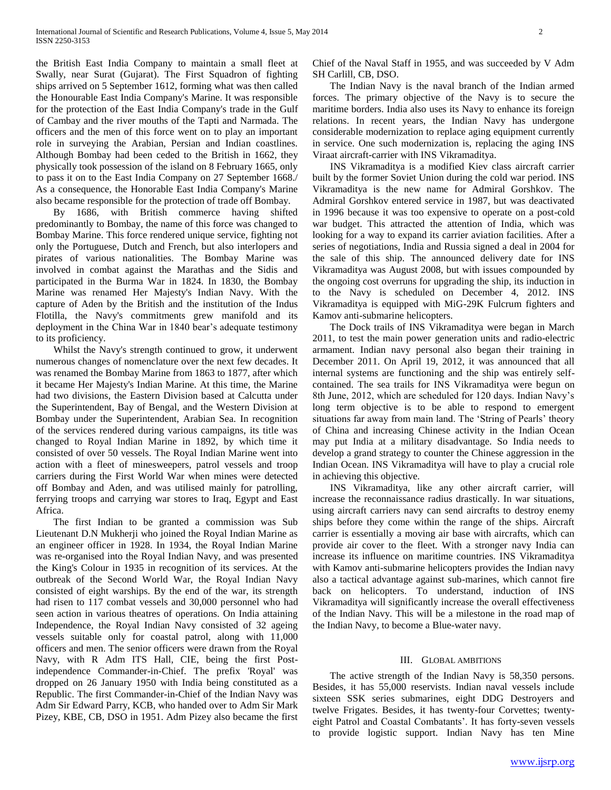the British East India Company to maintain a small fleet at Swally, near Surat (Gujarat). The First Squadron of fighting ships arrived on 5 September 1612, forming what was then called the Honourable East India Company's Marine. It was responsible for the protection of the East India Company's trade in the Gulf of Cambay and the river mouths of the Tapti and Narmada. The officers and the men of this force went on to play an important role in surveying the Arabian, Persian and Indian coastlines. Although Bombay had been ceded to the British in 1662, they physically took possession of the island on 8 February 1665, only to pass it on to the East India Company on 27 September 1668./ As a consequence, the Honorable East India Company's Marine also became responsible for the protection of trade off Bombay.

 By 1686, with British commerce having shifted predominantly to Bombay, the name of this force was changed to Bombay Marine. This force rendered unique service, fighting not only the Portuguese, Dutch and French, but also interlopers and pirates of various nationalities. The Bombay Marine was involved in combat against the Marathas and the Sidis and participated in the Burma War in 1824. In 1830, the Bombay Marine was renamed Her Majesty's Indian Navy. With the capture of Aden by the British and the institution of the Indus Flotilla, the Navy's commitments grew manifold and its deployment in the China War in 1840 bear's adequate testimony to its proficiency.

 Whilst the Navy's strength continued to grow, it underwent numerous changes of nomenclature over the next few decades. It was renamed the Bombay Marine from 1863 to 1877, after which it became Her Majesty's Indian Marine. At this time, the Marine had two divisions, the Eastern Division based at Calcutta under the Superintendent, Bay of Bengal, and the Western Division at Bombay under the Superintendent, Arabian Sea. In recognition of the services rendered during various campaigns, its title was changed to Royal Indian Marine in 1892, by which time it consisted of over 50 vessels. The Royal Indian Marine went into action with a fleet of minesweepers, patrol vessels and troop carriers during the First World War when mines were detected off Bombay and Aden, and was utilised mainly for patrolling, ferrying troops and carrying war stores to Iraq, Egypt and East Africa.

 The first Indian to be granted a commission was Sub Lieutenant D.N Mukherji who joined the Royal Indian Marine as an engineer officer in 1928. In 1934, the Royal Indian Marine was re-organised into the Royal Indian Navy, and was presented the King's Colour in 1935 in recognition of its services. At the outbreak of the Second World War, the Royal Indian Navy consisted of eight warships. By the end of the war, its strength had risen to 117 combat vessels and 30,000 personnel who had seen action in various theatres of operations. On India attaining Independence, the Royal Indian Navy consisted of 32 ageing vessels suitable only for coastal patrol, along with 11,000 officers and men. The senior officers were drawn from the Royal Navy, with R Adm ITS Hall, CIE, being the first Postindependence Commander-in-Chief. The prefix 'Royal' was dropped on 26 January 1950 with India being constituted as a Republic. The first Commander-in-Chief of the Indian Navy was Adm Sir Edward Parry, KCB, who handed over to Adm Sir Mark Pizey, KBE, CB, DSO in 1951. Adm Pizey also became the first

Chief of the Naval Staff in 1955, and was succeeded by V Adm SH Carlill, CB, DSO.

 The Indian Navy is the naval branch of the Indian armed forces. The primary objective of the Navy is to secure the maritime borders. India also uses its Navy to enhance its foreign relations. In recent years, the Indian Navy has undergone considerable modernization to replace aging equipment currently in service. One such modernization is, replacing the aging INS Viraat aircraft-carrier with INS Vikramaditya.

 INS Vikramaditya is a modified Kiev class aircraft carrier built by the former Soviet Union during the cold war period. INS Vikramaditya is the new name for Admiral Gorshkov. The Admiral Gorshkov entered service in 1987, but was deactivated in 1996 because it was too expensive to operate on a post-cold war budget. This attracted the attention of India, which was looking for a way to expand its carrier aviation facilities. After a series of negotiations, India and Russia signed a deal in 2004 for the sale of this ship. The announced delivery date for INS Vikramaditya was August 2008, but with issues compounded by the ongoing cost overruns for upgrading the ship, its induction in to the Navy is scheduled on December 4, 2012. INS Vikramaditya is equipped with MiG-29K Fulcrum fighters and Kamov anti-submarine helicopters.

 The Dock trails of INS Vikramaditya were began in March 2011, to test the main power generation units and radio-electric armament. Indian navy personal also began their training in December 2011. On April 19, 2012, it was announced that all internal systems are functioning and the ship was entirely selfcontained. The sea trails for INS Vikramaditya were begun on 8th June, 2012, which are scheduled for 120 days. Indian Navy's long term objective is to be able to respond to emergent situations far away from main land. The 'String of Pearls' theory of China and increasing Chinese activity in the Indian Ocean may put India at a military disadvantage. So India needs to develop a grand strategy to counter the Chinese aggression in the Indian Ocean. INS Vikramaditya will have to play a crucial role in achieving this objective.

 INS Vikramaditya, like any other aircraft carrier, will increase the reconnaissance radius drastically. In war situations, using aircraft carriers navy can send aircrafts to destroy enemy ships before they come within the range of the ships. Aircraft carrier is essentially a moving air base with aircrafts, which can provide air cover to the fleet. With a stronger navy India can increase its influence on maritime countries. INS Vikramaditya with Kamov anti-submarine helicopters provides the Indian navy also a tactical advantage against sub-marines, which cannot fire back on helicopters. To understand, induction of INS Vikramaditya will significantly increase the overall effectiveness of the Indian Navy. This will be a milestone in the road map of the Indian Navy, to become a Blue-water navy.

### III. GLOBAL AMBITIONS

 The active strength of the Indian Navy is 58,350 persons. Besides, it has 55,000 reservists. Indian naval vessels include sixteen SSK series submarines, eight DDG Destroyers and twelve Frigates. Besides, it has twenty-four Corvettes; twentyeight Patrol and Coastal Combatants'. It has forty-seven vessels to provide logistic support. Indian Navy has ten Mine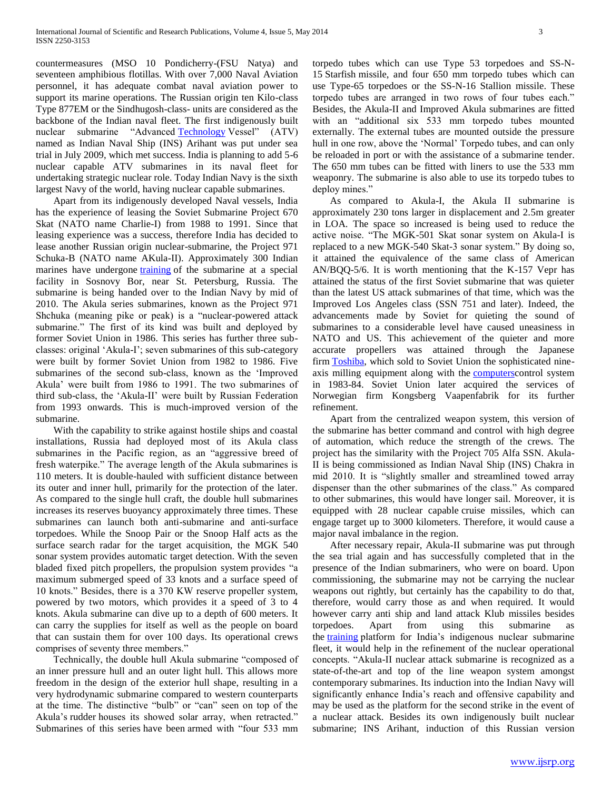countermeasures (MSO 10 Pondicherry-(FSU Natya) and seventeen amphibious flotillas. With over 7,000 Naval Aviation personnel, it has adequate combat naval aviation power to support its marine operations. The Russian origin ten Kilo-class Type 877EM or the Sindhugosh-class- units are considered as the backbone of the Indian naval fleet. The first indigenously built nuclear submarine "Advanced [Technology](javascript:void(0);) Vessel" (ATV) named as Indian Naval Ship (INS) Arihant was put under sea trial in July 2009, which met success. India is planning to add 5-6 nuclear capable ATV submarines in its naval fleet for undertaking strategic nuclear role. Today Indian Navy is the sixth largest Navy of the world, having nuclear capable submarines.

 Apart from its indigenously developed Naval vessels, India has the experience of leasing the Soviet Submarine Project 670 Skat (NATO name Charlie-I) from 1988 to 1991. Since that leasing experience was a success, therefore India has decided to lease another Russian origin nuclear-submarine, the Project 971 Schuka-B (NATO name AKula-II). Approximately 300 Indian marines have undergone *[training](javascript:void(0);)* of the submarine at a special facility in Sosnovy Bor, near St. Petersburg, Russia. The submarine is being handed over to the Indian Navy by mid of 2010. The Akula series submarines, known as the Project 971 Shchuka (meaning pike or peak) is a "nuclear-powered attack submarine." The first of its kind was built and deployed by former Soviet Union in 1986. This series has further three subclasses: original 'Akula-I'; seven submarines of this sub-category were built by former Soviet Union from 1982 to 1986. Five submarines of the second sub-class, known as the 'Improved Akula' were built from 1986 to 1991. The two submarines of third sub-class, the 'Akula-II' were built by Russian Federation from 1993 onwards. This is much-improved version of the submarine.

 With the capability to strike against hostile ships and coastal installations, Russia had deployed most of its Akula class submarines in the Pacific region, as an "aggressive breed of fresh waterpike." The average length of the Akula submarines is 110 meters. It is double-hauled with sufficient distance between its outer and inner hull, primarily for the protection of the later. As compared to the single hull craft, the double hull submarines increases its reserves buoyancy approximately three times. These submarines can launch both anti-submarine and anti-surface torpedoes. While the Snoop Pair or the Snoop Half acts as the surface search radar for the target acquisition, the MGK 540 sonar system provides automatic target detection. With the seven bladed fixed pitch propellers, the propulsion system provides "a maximum submerged speed of 33 knots and a surface speed of 10 knots." Besides, there is a 370 KW reserve propeller system, powered by two motors, which provides it a speed of 3 to 4 knots. Akula submarine can dive up to a depth of 600 meters. It can carry the supplies for itself as well as the people on board that can sustain them for over 100 days. Its operational crews comprises of seventy three members."

 Technically, the double hull Akula submarine "composed of an inner pressure hull and an outer light hull. This allows more freedom in the design of the exterior hull shape, resulting in a very hydrodynamic submarine compared to western counterparts at the time. The distinctive "bulb" or "can" seen on top of the Akula's rudder houses its showed solar array, when retracted." Submarines of this series have been armed with "four 533 mm

torpedo tubes which can use Type 53 torpedoes and SS-N-15 Starfish missile, and four 650 mm torpedo tubes which can use Type-65 torpedoes or the SS-N-16 Stallion missile. These torpedo tubes are arranged in two rows of four tubes each." Besides, the Akula-II and Improved Akula submarines are fitted with an "additional six 533 mm torpedo tubes mounted externally. The external tubes are mounted outside the pressure hull in one row, above the 'Normal' Torpedo tubes, and can only be reloaded in port or with the assistance of a submarine tender. The 650 mm tubes can be fitted with liners to use the 533 mm weaponry. The submarine is also able to use its torpedo tubes to deploy mines."

 As compared to Akula-I, the Akula II submarine is approximately 230 tons larger in displacement and 2.5m greater in LOA. The space so increased is being used to reduce the active noise. "The MGK-501 Skat sonar system on Akula-I is replaced to a new MGK-540 Skat-3 sonar system." By doing so, it attained the equivalence of the same class of American AN/BQQ-5/6. It is worth mentioning that the K-157 Vepr has attained the status of the first Soviet submarine that was quieter than the latest US attack submarines of that time, which was the Improved Los Angeles class (SSN 751 and later). Indeed, the advancements made by Soviet for quieting the sound of submarines to a considerable level have caused uneasiness in NATO and US. This achievement of the quieter and more accurate propellers was attained through the Japanese firm **Toshiba**, which sold to Soviet Union the sophisticated nineaxis milling equipment along with the **computers** control system in 1983-84. Soviet Union later acquired the services of Norwegian firm Kongsberg Vaapenfabrik for its further refinement.

 Apart from the centralized weapon system, this version of the submarine has better command and control with high degree of automation, which reduce the strength of the crews. The project has the similarity with the Project 705 Alfa SSN. Akula-II is being commissioned as Indian Naval Ship (INS) Chakra in mid 2010. It is "slightly smaller and streamlined towed array dispenser than the other submarines of the class." As compared to other submarines, this would have longer sail. Moreover, it is equipped with 28 nuclear capable cruise missiles, which can engage target up to 3000 kilometers. Therefore, it would cause a major naval imbalance in the region.

 After necessary repair, Akula-II submarine was put through the sea trial again and has successfully completed that in the presence of the Indian submariners, who were on board. Upon commissioning, the submarine may not be carrying the nuclear weapons out rightly, but certainly has the capability to do that, therefore, would carry those as and when required. It would however carry anti ship and land attack Klub missiles besides torpedoes. Apart from using this submarine as the [training](javascript:void(0);) platform for India's indigenous nuclear submarine fleet, it would help in the refinement of the nuclear operational concepts. "Akula-II nuclear attack submarine is recognized as a state-of-the-art and top of the line weapon system amongst contemporary submarines. Its induction into the Indian Navy will significantly enhance India's reach and offensive capability and may be used as the platform for the second strike in the event of a nuclear attack. Besides its own indigenously built nuclear submarine; INS Arihant, induction of this Russian version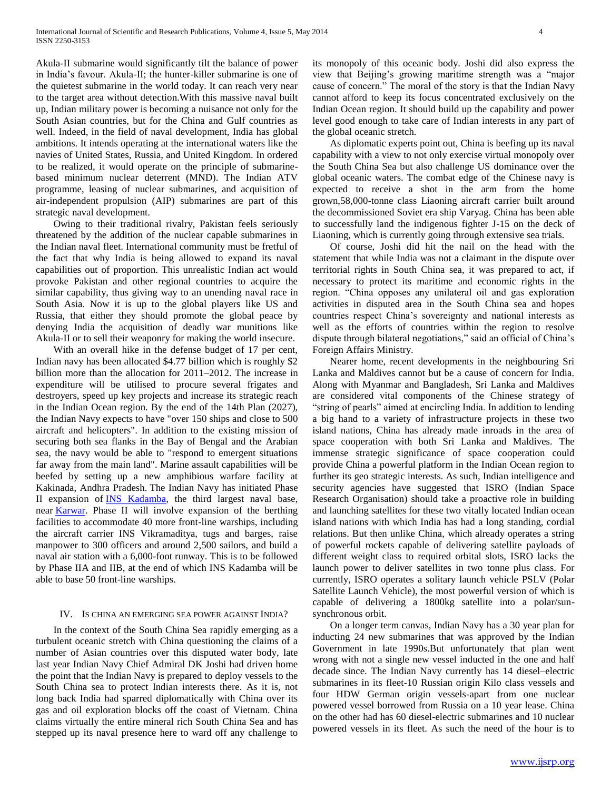Akula-II submarine would significantly tilt the balance of power in India's favour. Akula-II; the hunter-killer submarine is one of the quietest submarine in the world today. It can reach very near to the target area without detection.With this massive naval built up, Indian military power is becoming a nuisance not only for the South Asian countries, but for the China and Gulf countries as well. Indeed, in the field of naval development, India has global ambitions. It intends operating at the international waters like the navies of United States, Russia, and United Kingdom. In ordered to be realized, it would operate on the principle of submarinebased minimum nuclear deterrent (MND). The Indian ATV programme, leasing of nuclear submarines, and acquisition of air-independent propulsion (AIP) submarines are part of this strategic naval development.

 Owing to their traditional rivalry, Pakistan feels seriously threatened by the addition of the nuclear capable submarines in the Indian naval fleet. International community must be fretful of the fact that why India is being allowed to expand its naval capabilities out of proportion. This unrealistic Indian act would provoke Pakistan and other regional countries to acquire the similar capability, thus giving way to an unending naval race in South Asia. Now it is up to the global players like US and Russia, that either they should promote the global peace by denying India the acquisition of deadly war munitions like Akula-II or to sell their weaponry for making the world insecure.

 With an overall hike in the defense budget of 17 per cent, Indian navy has been allocated \$4.77 billion which is roughly \$2 billion more than the allocation for 2011–2012. The increase in expenditure will be utilised to procure several frigates and destroyers, speed up key projects and increase its strategic reach in the Indian Ocean region. By the end of the 14th Plan (2027), the Indian Navy expects to have "over 150 ships and close to 500 aircraft and helicopters". In addition to the existing mission of securing both sea flanks in the Bay of Bengal and the Arabian sea, the navy would be able to "respond to emergent situations far away from the main land". Marine assault capabilities will be beefed by setting up a new amphibious warfare facility at Kakinada, Andhra Pradesh. The Indian Navy has initiated Phase II expansion of **INS Kadamba**, the third largest naval base, near [Karwar.](http://en.wikipedia.org/wiki/Karwar) Phase II will involve expansion of the berthing facilities to accommodate 40 more front-line warships, including the aircraft carrier INS Vikramaditya, tugs and barges, raise manpower to 300 officers and around 2,500 sailors, and build a naval air station with a 6,000-foot runway. This is to be followed by Phase IIA and IIB, at the end of which INS Kadamba will be able to base 50 front-line warships.

#### IV. IS CHINA AN EMERGING SEA POWER AGAINST INDIA?

 In the context of the South China Sea rapidly emerging as a turbulent oceanic stretch with China questioning the claims of a number of Asian countries over this disputed water body, late last year Indian Navy Chief Admiral DK Joshi had driven home the point that the Indian Navy is prepared to deploy vessels to the South China sea to protect Indian interests there. As it is, not long back India had sparred diplomatically with China over its gas and oil exploration blocks off the coast of Vietnam. China claims virtually the entire mineral rich South China Sea and has stepped up its naval presence here to ward off any challenge to

its monopoly of this oceanic body. Joshi did also express the view that Beijing's growing maritime strength was a "major cause of concern." The moral of the story is that the Indian Navy cannot afford to keep its focus concentrated exclusively on the Indian Ocean region. It should build up the capability and power level good enough to take care of Indian interests in any part of the global oceanic stretch.

 As diplomatic experts point out, China is beefing up its naval capability with a view to not only exercise virtual monopoly over the South China Sea but also challenge US dominance over the global oceanic waters. The combat edge of the Chinese navy is expected to receive a shot in the arm from the home grown,58,000-tonne class Liaoning aircraft carrier built around the decommissioned Soviet era ship Varyag. China has been able to successfully land the indigenous fighter J-15 on the deck of Liaoning, which is currently going through extensive sea trials.

 Of course, Joshi did hit the nail on the head with the statement that while India was not a claimant in the dispute over territorial rights in South China sea, it was prepared to act, if necessary to protect its maritime and economic rights in the region. "China opposes any unilateral oil and gas exploration activities in disputed area in the South China sea and hopes countries respect China's sovereignty and national interests as well as the efforts of countries within the region to resolve dispute through bilateral negotiations," said an official of China's Foreign Affairs Ministry.

 Nearer home, recent developments in the neighbouring Sri Lanka and Maldives cannot but be a cause of concern for India. Along with Myanmar and Bangladesh, Sri Lanka and Maldives are considered vital components of the Chinese strategy of "string of pearls" aimed at encircling India. In addition to lending a big hand to a variety of infrastructure projects in these two island nations, China has already made inroads in the area of space cooperation with both Sri Lanka and Maldives. The immense strategic significance of space cooperation could provide China a powerful platform in the Indian Ocean region to further its geo strategic interests. As such, Indian intelligence and security agencies have suggested that ISRO (Indian Space Research Organisation) should take a proactive role in building and launching satellites for these two vitally located Indian ocean island nations with which India has had a long standing, cordial relations. But then unlike China, which already operates a string of powerful rockets capable of delivering satellite payloads of different weight class to required orbital slots, ISRO lacks the launch power to deliver satellites in two tonne plus class. For currently, ISRO operates a solitary launch vehicle PSLV (Polar Satellite Launch Vehicle), the most powerful version of which is capable of delivering a 1800kg satellite into a polar/sunsynchronous orbit.

 On a longer term canvas, Indian Navy has a 30 year plan for inducting 24 new submarines that was approved by the Indian Government in late 1990s.But unfortunately that plan went wrong with not a single new vessel inducted in the one and half decade since. The Indian Navy currently has 14 diesel–electric submarines in its fleet-10 Russian origin Kilo class vessels and four HDW German origin vessels-apart from one nuclear powered vessel borrowed from Russia on a 10 year lease. China on the other had has 60 diesel-electric submarines and 10 nuclear powered vessels in its fleet. As such the need of the hour is to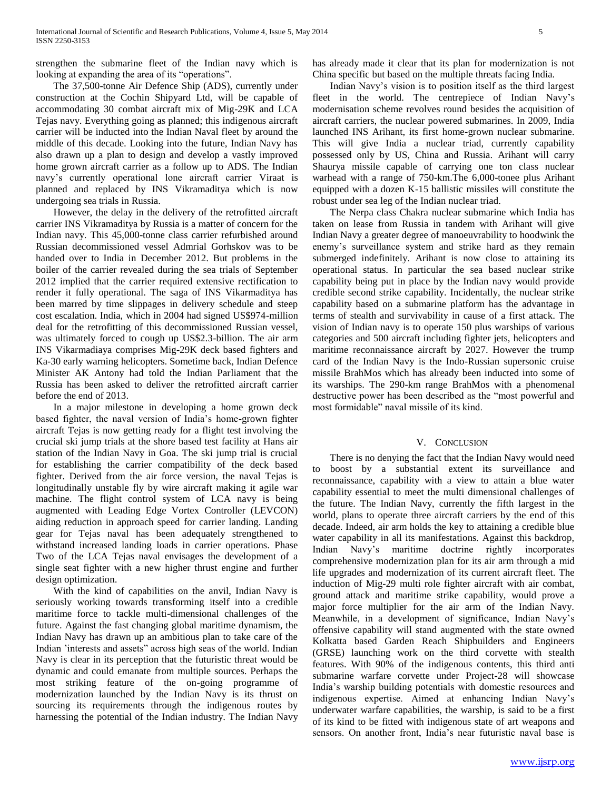strengthen the submarine fleet of the Indian navy which is looking at expanding the area of its "operations".

 The 37,500-tonne Air Defence Ship (ADS), currently under construction at the Cochin Shipyard Ltd, will be capable of accommodating 30 combat aircraft mix of Mig-29K and LCA Tejas navy. Everything going as planned; this indigenous aircraft carrier will be inducted into the Indian Naval fleet by around the middle of this decade. Looking into the future, Indian Navy has also drawn up a plan to design and develop a vastly improved home grown aircraft carrier as a follow up to ADS. The Indian navy's currently operational lone aircraft carrier Viraat is planned and replaced by INS Vikramaditya which is now undergoing sea trials in Russia.

 However, the delay in the delivery of the retrofitted aircraft carrier INS Vikramaditya by Russia is a matter of concern for the Indian navy. This 45,000-tonne class carrier refurbished around Russian decommissioned vessel Admrial Gorhskov was to be handed over to India in December 2012. But problems in the boiler of the carrier revealed during the sea trials of September 2012 implied that the carrier required extensive rectification to render it fully operational. The saga of INS Vikarmaditya has been marred by time slippages in delivery schedule and steep cost escalation. India, which in 2004 had signed US\$974-million deal for the retrofitting of this decommissioned Russian vessel, was ultimately forced to cough up US\$2.3-billion. The air arm INS Vikarmadiaya comprises Mig-29K deck based fighters and Ka-30 early warning helicopters. Sometime back, Indian Defence Minister AK Antony had told the Indian Parliament that the Russia has been asked to deliver the retrofitted aircraft carrier before the end of 2013.

 In a major milestone in developing a home grown deck based fighter, the naval version of India's home-grown fighter aircraft Tejas is now getting ready for a flight test involving the crucial ski jump trials at the shore based test facility at Hans air station of the Indian Navy in Goa. The ski jump trial is crucial for establishing the carrier compatibility of the deck based fighter. Derived from the air force version, the naval Tejas is longitudinally unstable fly by wire aircraft making it agile war machine. The flight control system of LCA navy is being augmented with Leading Edge Vortex Controller (LEVCON) aiding reduction in approach speed for carrier landing. Landing gear for Tejas naval has been adequately strengthened to withstand increased landing loads in carrier operations. Phase Two of the LCA Tejas naval envisages the development of a single seat fighter with a new higher thrust engine and further design optimization.

 With the kind of capabilities on the anvil, Indian Navy is seriously working towards transforming itself into a credible maritime force to tackle multi-dimensional challenges of the future. Against the fast changing global maritime dynamism, the Indian Navy has drawn up an ambitious plan to take care of the Indian 'interests and assets" across high seas of the world. Indian Navy is clear in its perception that the futuristic threat would be dynamic and could emanate from multiple sources. Perhaps the most striking feature of the on-going programme of modernization launched by the Indian Navy is its thrust on sourcing its requirements through the indigenous routes by harnessing the potential of the Indian industry. The Indian Navy

has already made it clear that its plan for modernization is not China specific but based on the multiple threats facing India.

 Indian Navy's vision is to position itself as the third largest fleet in the world. The centrepiece of Indian Navy's modernisation scheme revolves round besides the acquisition of aircraft carriers, the nuclear powered submarines. In 2009, India launched INS Arihant, its first home-grown nuclear submarine. This will give India a nuclear triad, currently capability possessed only by US, China and Russia. Arihant will carry Shaurya missile capable of carrying one ton class nuclear warhead with a range of 750-km.The 6,000-tonee plus Arihant equipped with a dozen K-15 ballistic missiles will constitute the robust under sea leg of the Indian nuclear triad.

 The Nerpa class Chakra nuclear submarine which India has taken on lease from Russia in tandem with Arihant will give Indian Navy a greater degree of manoeuvrability to hoodwink the enemy's surveillance system and strike hard as they remain submerged indefinitely. Arihant is now close to attaining its operational status. In particular the sea based nuclear strike capability being put in place by the Indian navy would provide credible second strike capability. Incidentally, the nuclear strike capability based on a submarine platform has the advantage in terms of stealth and survivability in cause of a first attack. The vision of Indian navy is to operate 150 plus warships of various categories and 500 aircraft including fighter jets, helicopters and maritime reconnaissance aircraft by 2027. However the trump card of the Indian Navy is the Indo-Russian supersonic cruise missile BrahMos which has already been inducted into some of its warships. The 290-km range BrahMos with a phenomenal destructive power has been described as the "most powerful and most formidable" naval missile of its kind.

# V. CONCLUSION

 There is no denying the fact that the Indian Navy would need to boost by a substantial extent its surveillance and reconnaissance, capability with a view to attain a blue water capability essential to meet the multi dimensional challenges of the future. The Indian Navy, currently the fifth largest in the world, plans to operate three aircraft carriers by the end of this decade. Indeed, air arm holds the key to attaining a credible blue water capability in all its manifestations. Against this backdrop, Indian Navy's maritime doctrine rightly incorporates comprehensive modernization plan for its air arm through a mid life upgrades and modernization of its current aircraft fleet. The induction of Mig-29 multi role fighter aircraft with air combat, ground attack and maritime strike capability, would prove a major force multiplier for the air arm of the Indian Navy. Meanwhile, in a development of significance, Indian Navy's offensive capability will stand augmented with the state owned Kolkatta based Garden Reach Shipbuilders and Engineers (GRSE) launching work on the third corvette with stealth features. With 90% of the indigenous contents, this third anti submarine warfare corvette under Project-28 will showcase India's warship building potentials with domestic resources and indigenous expertise. Aimed at enhancing Indian Navy's underwater warfare capabilities, the warship, is said to be a first of its kind to be fitted with indigenous state of art weapons and sensors. On another front, India's near futuristic naval base is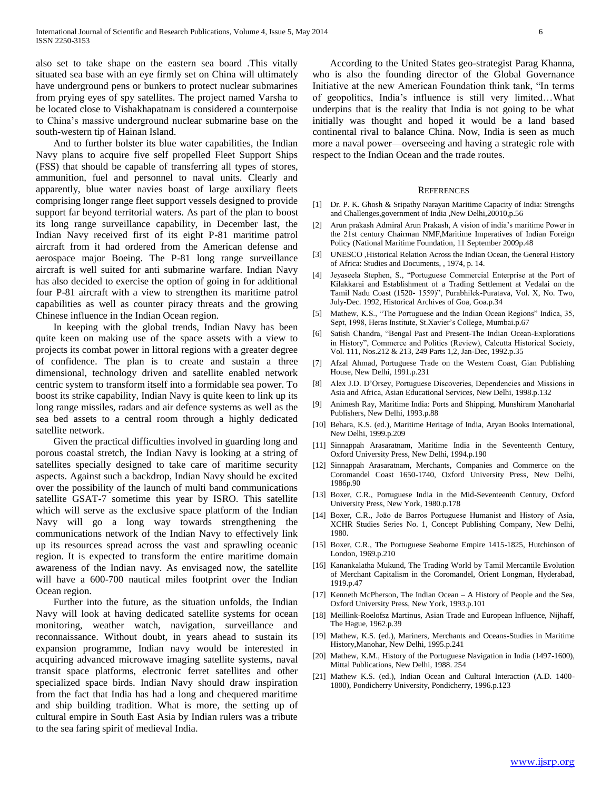also set to take shape on the eastern sea board .This vitally situated sea base with an eye firmly set on China will ultimately have underground pens or bunkers to protect nuclear submarines from prying eyes of spy satellites. The project named Varsha to be located close to Vishakhapatnam is considered a counterpoise to China's massive underground nuclear submarine base on the south-western tip of Hainan Island.

 And to further bolster its blue water capabilities, the Indian Navy plans to acquire five self propelled Fleet Support Ships (FSS) that should be capable of transferring all types of stores, ammunition, fuel and personnel to naval units. Clearly and apparently, blue water navies boast of large auxiliary fleets comprising longer range fleet support vessels designed to provide support far beyond territorial waters. As part of the plan to boost its long range surveillance capability, in December last, the Indian Navy received first of its eight P-81 maritime patrol aircraft from it had ordered from the American defense and aerospace major Boeing. The P-81 long range surveillance aircraft is well suited for anti submarine warfare. Indian Navy has also decided to exercise the option of going in for additional four P-81 aircraft with a view to strengthen its maritime patrol capabilities as well as counter piracy threats and the growing Chinese influence in the Indian Ocean region.

 In keeping with the global trends, Indian Navy has been quite keen on making use of the space assets with a view to projects its combat power in littoral regions with a greater degree of confidence. The plan is to create and sustain a three dimensional, technology driven and satellite enabled network centric system to transform itself into a formidable sea power. To boost its strike capability, Indian Navy is quite keen to link up its long range missiles, radars and air defence systems as well as the sea bed assets to a central room through a highly dedicated satellite network.

 Given the practical difficulties involved in guarding long and porous coastal stretch, the Indian Navy is looking at a string of satellites specially designed to take care of maritime security aspects. Against such a backdrop, Indian Navy should be excited over the possibility of the launch of multi band communications satellite GSAT-7 sometime this year by ISRO. This satellite which will serve as the exclusive space platform of the Indian Navy will go a long way towards strengthening the communications network of the Indian Navy to effectively link up its resources spread across the vast and sprawling oceanic region. It is expected to transform the entire maritime domain awareness of the Indian navy. As envisaged now, the satellite will have a 600-700 nautical miles footprint over the Indian Ocean region.

 Further into the future, as the situation unfolds, the Indian Navy will look at having dedicated satellite systems for ocean monitoring, weather watch, navigation, surveillance and reconnaissance. Without doubt, in years ahead to sustain its expansion programme, Indian navy would be interested in acquiring advanced microwave imaging satellite systems, naval transit space platforms, electronic ferret satellites and other specialized space birds. Indian Navy should draw inspiration from the fact that India has had a long and chequered maritime and ship building tradition. What is more, the setting up of cultural empire in South East Asia by Indian rulers was a tribute to the sea faring spirit of medieval India.

 According to the United States geo-strategist Parag Khanna, who is also the founding director of the Global Governance Initiative at the new American Foundation think tank, "In terms of geopolitics, India's influence is still very limited…What underpins that is the reality that India is not going to be what initially was thought and hoped it would be a land based continental rival to balance China. Now, India is seen as much more a naval power—overseeing and having a strategic role with respect to the Indian Ocean and the trade routes.

#### **REFERENCES**

- [1] Dr. P. K. Ghosh & Sripathy Narayan Maritime Capacity of India: Strengths and Challenges,government of India ,New Delhi,20010,p.56
- [2] Arun prakash Admiral Arun Prakash, A vision of india's maritime Power in the 21st century Chairman NMF,Maritime Imperatives of Indian Foreign Policy (National Maritime Foundation, 11 September 2009p.48
- [3] UNESCO ,Historical Relation Across the Indian Ocean, the General History of Africa: Studies and Documents, , 1974, p. 14.
- [4] Jeyaseela Stephen, S., "Portuguese Commercial Enterprise at the Port of Kilakkarai and Establishment of a Trading Settlement at Vedalai on the Tamil Nadu Coast (1520- 1559)", Purabhilek-Puratava, Vol. X, No. Two, July-Dec. 1992, Historical Archives of Goa, Goa.p.34
- [5] Mathew, K.S., "The Portuguese and the Indian Ocean Regions" Indica, 35, Sept, 1998, Heras Institute, St.Xavier's College, Mumbai.p.67
- [6] Satish Chandra, "Bengal Past and Present-The Indian Ocean-Explorations in History", Commerce and Politics (Review), Calcutta Historical Society, Vol. 111, Nos.212 & 213, 249 Parts 1,2, Jan-Dec, 1992.p.35
- [7] Afzal Ahmad, Portuguese Trade on the Western Coast, Gian Publishing House, New Delhi, 1991.p.231
- [8] Alex J.D. D'Orsey, Portuguese Discoveries, Dependencies and Missions in Asia and Africa, Asian Educational Services, New Delhi, 1998.p.132
- [9] Animesh Ray, Maritime India: Ports and Shipping, Munshiram Manoharlal Publishers, New Delhi, 1993.p.88
- [10] Behara, K.S. (ed.), Maritime Heritage of India, Aryan Books International, New Delhi, 1999.p.209
- [11] Sinnappah Arasaratnam, Maritime India in the Seventeenth Century, Oxford University Press, New Delhi, 1994.p.190
- [12] Sinnappah Arasaratnam, Merchants, Companies and Commerce on the Coromandel Coast 1650-1740, Oxford University Press, New Delhi, 1986p.90
- [13] Boxer, C.R., Portuguese India in the Mid-Seventeenth Century, Oxford University Press, New York, 1980.p.178
- [14] Boxer, C.R., Joāo de Barros Portuguese Humanist and History of Asia, XCHR Studies Series No. 1, Concept Publishing Company, New Delhi, 1980.
- [15] Boxer, C.R., The Portuguese Seaborne Empire 1415-1825, Hutchinson of London, 1969.p.210
- [16] Kanankalatha Mukund, The Trading World by Tamil Mercantile Evolution of Merchant Capitalism in the Coromandel, Orient Longman, Hyderabad, 1919.p.47
- [17] Kenneth McPherson, The Indian Ocean A History of People and the Sea, Oxford University Press, New York, 1993.p.101
- [18] Meillink-Roelofsz Martinus, Asian Trade and European Influence, Nijhaff, The Hague, 1962.p.39
- [19] Mathew, K.S. (ed.), Mariners, Merchants and Oceans-Studies in Maritime History,Manohar, New Delhi, 1995.p.241
- [20] Mathew, K.M., History of the Portuguese Navigation in India (1497-1600), Mittal Publications, New Delhi, 1988. 254
- [21] Mathew K.S. (ed.), Indian Ocean and Cultural Interaction (A.D. 1400-1800), Pondicherry University, Pondicherry, 1996.p.123